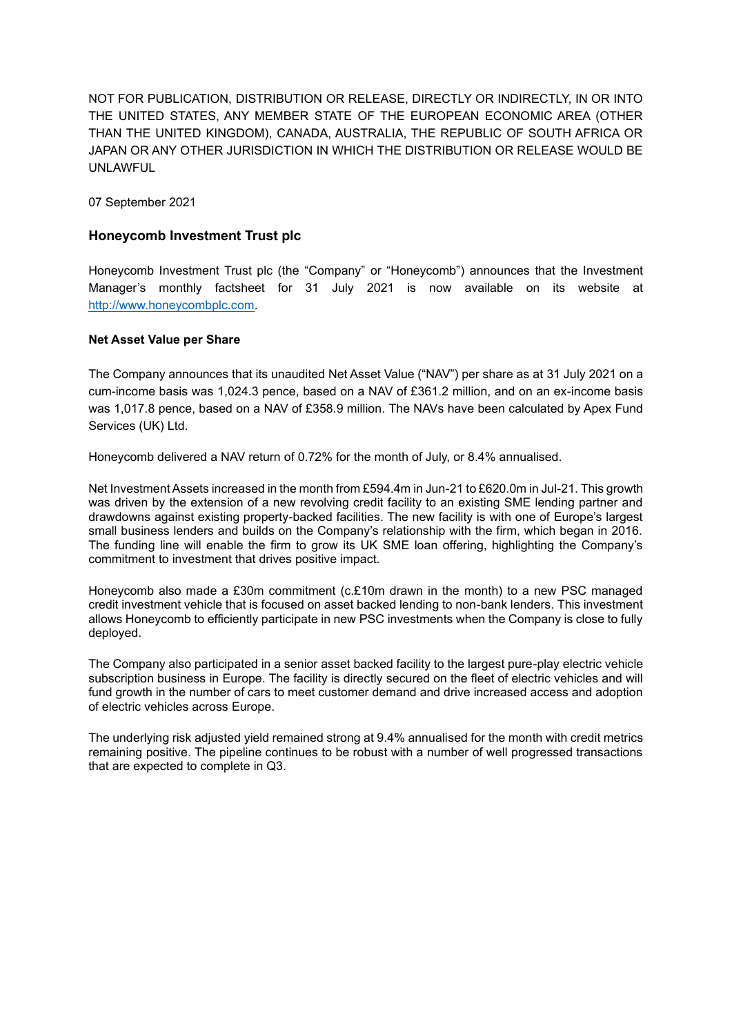NOT FOR PUBLICATION, DISTRIBUTION OR RELEASE, DIRECTLY OR INDIRECTLY, IN OR INTO THE UNITED STATES, ANY MEMBER STATE OF THE EUROPEAN ECONOMIC AREA (OTHER THAN THE UNITED KINGDOM), CANADA, AUSTRALIA, THE REPUBLIC OF SOUTH AFRICA OR JAPAN OR ANY OTHER JURISDICTION IN WHICH THE DISTRIBUTION OR RELEASE WOULD BE UNLAWFUL

07 September 2021

## **Honeycomb Investment Trust plc**

Honeycomb Investment Trust plc (the "Company" or "Honeycomb") announces that the Investment Manager's monthly factsheet for 31 July 2021 is now available on its website at [http://www.honeycombplc.com.](http://www.honeycombplc.com/documents/)

#### **Net Asset Value per Share**

The Company announces that its unaudited Net Asset Value ("NAV") per share as at 31 July 2021 on a cum-income basis was 1,024.3 pence, based on a NAV of £361.2 million, and on an ex-income basis was 1,017.8 pence, based on a NAV of £358.9 million. The NAVs have been calculated by Apex Fund Services (UK) Ltd.

Honeycomb delivered a NAV return of 0.72% for the month of July, or 8.4% annualised.

Net Investment Assets increased in the month from £594.4m in Jun-21 to £620.0m in Jul-21. This growth was driven by the extension of a new revolving credit facility to an existing SME lending partner and drawdowns against existing property-backed facilities. The new facility is with one of Europe's largest small business lenders and builds on the Company's relationship with the firm, which began in 2016. The funding line will enable the firm to grow its UK SME loan offering, highlighting the Company's commitment to investment that drives positive impact.

Honeycomb also made a £30m commitment (c.£10m drawn in the month) to a new PSC managed credit investment vehicle that is focused on asset backed lending to non-bank lenders. This investment allows Honeycomb to efficiently participate in new PSC investments when the Company is close to fully deployed.

The Company also participated in a senior asset backed facility to the largest pure-play electric vehicle subscription business in Europe. The facility is directly secured on the fleet of electric vehicles and will fund growth in the number of cars to meet customer demand and drive increased access and adoption of electric vehicles across Europe.

The underlying risk adjusted yield remained strong at 9.4% annualised for the month with credit metrics remaining positive. The pipeline continues to be robust with a number of well progressed transactions that are expected to complete in Q3.